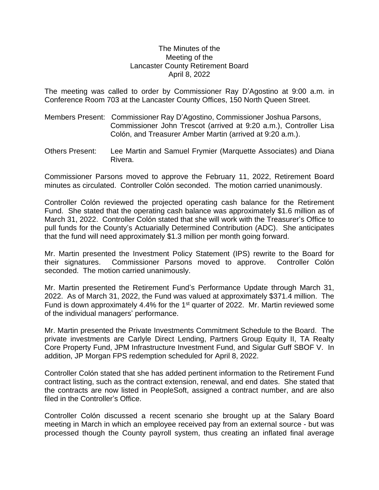## The Minutes of the Meeting of the Lancaster County Retirement Board April 8, 2022

The meeting was called to order by Commissioner Ray D'Agostino at 9:00 a.m. in Conference Room 703 at the Lancaster County Offices, 150 North Queen Street.

- Members Present: Commissioner Ray D'Agostino, Commissioner Joshua Parsons, Commissioner John Trescot (arrived at 9:20 a.m.), Controller Lisa Colón, and Treasurer Amber Martin (arrived at 9:20 a.m.).
- Others Present: Lee Martin and Samuel Frymier (Marquette Associates) and Diana Rivera.

Commissioner Parsons moved to approve the February 11, 2022, Retirement Board minutes as circulated. Controller Colón seconded. The motion carried unanimously.

Controller Colón reviewed the projected operating cash balance for the Retirement Fund. She stated that the operating cash balance was approximately \$1.6 million as of March 31, 2022. Controller Colón stated that she will work with the Treasurer's Office to pull funds for the County's Actuarially Determined Contribution (ADC). She anticipates that the fund will need approximately \$1.3 million per month going forward.

Mr. Martin presented the Investment Policy Statement (IPS) rewrite to the Board for their signatures. Commissioner Parsons moved to approve. Controller Colón seconded. The motion carried unanimously.

Mr. Martin presented the Retirement Fund's Performance Update through March 31, 2022. As of March 31, 2022, the Fund was valued at approximately \$371.4 million. The Fund is down approximately 4.4% for the 1<sup>st</sup> quarter of 2022. Mr. Martin reviewed some of the individual managers' performance.

Mr. Martin presented the Private Investments Commitment Schedule to the Board. The private investments are Carlyle Direct Lending, Partners Group Equity II, TA Realty Core Property Fund, JPM Infrastructure Investment Fund, and Sigular Guff SBOF V. In addition, JP Morgan FPS redemption scheduled for April 8, 2022.

Controller Colón stated that she has added pertinent information to the Retirement Fund contract listing, such as the contract extension, renewal, and end dates. She stated that the contracts are now listed in PeopleSoft, assigned a contract number, and are also filed in the Controller's Office.

Controller Colón discussed a recent scenario she brought up at the Salary Board meeting in March in which an employee received pay from an external source - but was processed though the County payroll system, thus creating an inflated final average